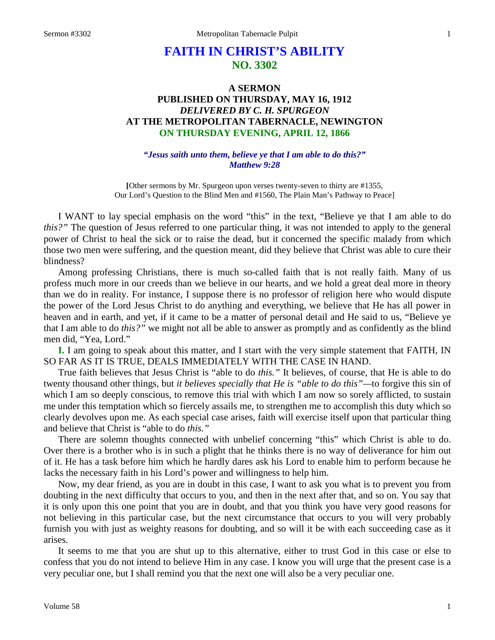# **FAITH IN CHRIST'S ABILITY NO. 3302**

### **A SERMON PUBLISHED ON THURSDAY, MAY 16, 1912** *DELIVERED BY C. H. SPURGEON* **AT THE METROPOLITAN TABERNACLE, NEWINGTON ON THURSDAY EVENING, APRIL 12, 1866**

#### *"Jesus saith unto them, believe ye that I am able to do this?" Matthew 9:28*

**[**Other sermons by Mr. Spurgeon upon verses twenty-seven to thirty are #1355, Our Lord's Question to the Blind Men and #1560, The Plain Man's Pathway to Peace]

I WANT to lay special emphasis on the word "this" in the text, "Believe ye that I am able to do *this?"* The question of Jesus referred to one particular thing, it was not intended to apply to the general power of Christ to heal the sick or to raise the dead, but it concerned the specific malady from which those two men were suffering, and the question meant, did they believe that Christ was able to cure their blindness?

Among professing Christians, there is much so-called faith that is not really faith. Many of us profess much more in our creeds than we believe in our hearts, and we hold a great deal more in theory than we do in reality. For instance, I suppose there is no professor of religion here who would dispute the power of the Lord Jesus Christ to do anything and everything, we believe that He has all power in heaven and in earth, and yet, if it came to be a matter of personal detail and He said to us, "Believe ye that I am able to do *this?"* we might not all be able to answer as promptly and as confidently as the blind men did, "Yea, Lord."

**I.** I am going to speak about this matter, and I start with the very simple statement that FAITH, IN SO FAR AS IT IS TRUE, DEALS IMMEDIATELY WITH THE CASE IN HAND.

True faith believes that Jesus Christ is "able to do *this."* It believes, of course, that He is able to do twenty thousand other things, but *it believes specially that He is "able to do this"—*to forgive this sin of which I am so deeply conscious, to remove this trial with which I am now so sorely afflicted, to sustain me under this temptation which so fiercely assails me, to strengthen me to accomplish this duty which so clearly devolves upon me. As each special case arises, faith will exercise itself upon that particular thing and believe that Christ is "able to do *this."*

There are solemn thoughts connected with unbelief concerning "this" which Christ is able to do. Over there is a brother who is in such a plight that he thinks there is no way of deliverance for him out of it. He has a task before him which he hardly dares ask his Lord to enable him to perform because he lacks the necessary faith in his Lord's power and willingness to help him.

Now, my dear friend, as you are in doubt in this case, I want to ask you what is to prevent you from doubting in the next difficulty that occurs to you, and then in the next after that, and so on. You say that it is only upon this one point that you are in doubt, and that you think you have very good reasons for not believing in this particular case, but the next circumstance that occurs to you will very probably furnish you with just as weighty reasons for doubting, and so will it be with each succeeding case as it arises.

It seems to me that you are shut up to this alternative, either to trust God in this case or else to confess that you do not intend to believe Him in any case. I know you will urge that the present case is a very peculiar one, but I shall remind you that the next one will also be a very peculiar one.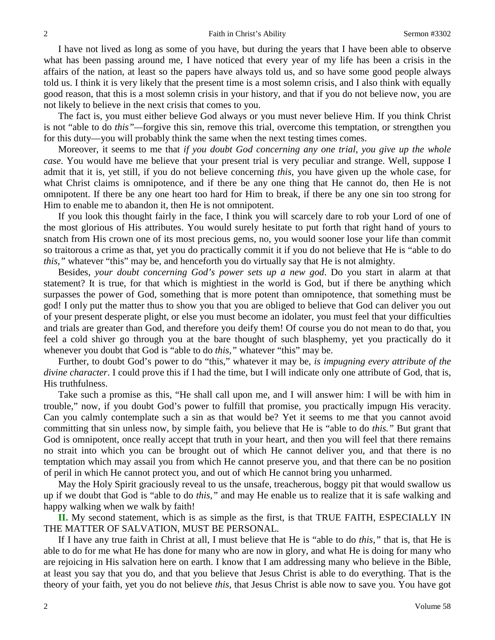I have not lived as long as some of you have, but during the years that I have been able to observe what has been passing around me, I have noticed that every year of my life has been a crisis in the affairs of the nation, at least so the papers have always told us, and so have some good people always told us. I think it is very likely that the present time is a most solemn crisis, and I also think with equally good reason, that this is a most solemn crisis in your history, and that if you do not believe now, you are not likely to believe in the next crisis that comes to you.

The fact is, you must either believe God always or you must never believe Him. If you think Christ is not "able to do *this"—*forgive this sin, remove this trial, overcome this temptation, or strengthen you for this duty—you will probably think the same when the next testing times comes.

Moreover, it seems to me that *if you doubt God concerning any one trial, you give up the whole case*. You would have me believe that your present trial is very peculiar and strange. Well, suppose I admit that it is, yet still, if you do not believe concerning *this,* you have given up the whole case, for what Christ claims is omnipotence, and if there be any one thing that He cannot do, then He is not omnipotent. If there be any one heart too hard for Him to break, if there be any one sin too strong for Him to enable me to abandon it, then He is not omnipotent.

If you look this thought fairly in the face, I think you will scarcely dare to rob your Lord of one of the most glorious of His attributes. You would surely hesitate to put forth that right hand of yours to snatch from His crown one of its most precious gems, no, you would sooner lose your life than commit so traitorous a crime as that, yet you do practically commit it if you do not believe that He is "able to do *this,"* whatever "this" may be, and henceforth you do virtually say that He is not almighty.

Besides, *your doubt concerning God's power sets up a new god*. Do you start in alarm at that statement? It is true, for that which is mightiest in the world is God, but if there be anything which surpasses the power of God, something that is more potent than omnipotence, that something must be god! I only put the matter thus to show you that you are obliged to believe that God can deliver you out of your present desperate plight, or else you must become an idolater, you must feel that your difficulties and trials are greater than God, and therefore you deify them! Of course you do not mean to do that, you feel a cold shiver go through you at the bare thought of such blasphemy, yet you practically do it whenever you doubt that God is "able to do *this,"* whatever "this" may be.

Further, to doubt God's power to do "this," whatever it may be, *is impugning every attribute of the divine character*. I could prove this if I had the time, but I will indicate only one attribute of God, that is, His truthfulness.

Take such a promise as this, "He shall call upon me, and I will answer him: I will be with him in trouble," now, if you doubt God's power to fulfill that promise, you practically impugn His veracity. Can you calmly contemplate such a sin as that would be? Yet it seems to me that you cannot avoid committing that sin unless now, by simple faith, you believe that He is "able to do *this."* But grant that God is omnipotent, once really accept that truth in your heart, and then you will feel that there remains no strait into which you can be brought out of which He cannot deliver you, and that there is no temptation which may assail you from which He cannot preserve you, and that there can be no position of peril in which He cannot protect you, and out of which He cannot bring you unharmed.

May the Holy Spirit graciously reveal to us the unsafe, treacherous, boggy pit that would swallow us up if we doubt that God is "able to do *this,"* and may He enable us to realize that it is safe walking and happy walking when we walk by faith!

**II.** My second statement, which is as simple as the first, is that TRUE FAITH, ESPECIALLY IN THE MATTER OF SALVATION, MUST BE PERSONAL.

If I have any true faith in Christ at all, I must believe that He is "able to do *this,"* that is, that He is able to do for me what He has done for many who are now in glory, and what He is doing for many who are rejoicing in His salvation here on earth. I know that I am addressing many who believe in the Bible, at least you say that you do, and that you believe that Jesus Christ is able to do everything. That is the theory of your faith, yet you do not believe *this,* that Jesus Christ is able now to save you. You have got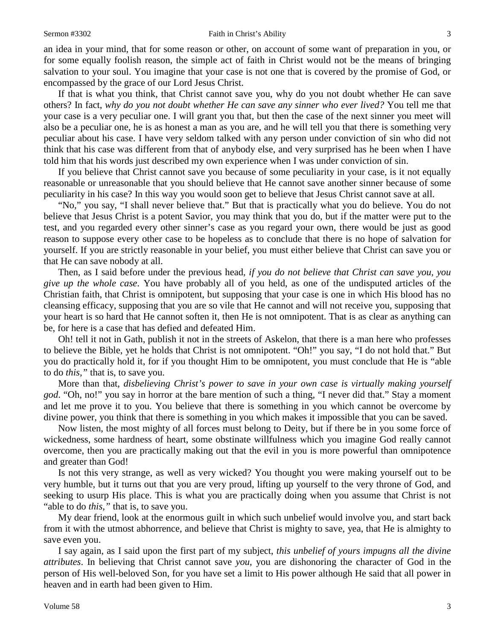an idea in your mind, that for some reason or other, on account of some want of preparation in you, or for some equally foolish reason, the simple act of faith in Christ would not be the means of bringing salvation to your soul. You imagine that your case is not one that is covered by the promise of God, or encompassed by the grace of our Lord Jesus Christ.

If that is what you think, that Christ cannot save you, why do you not doubt whether He can save others? In fact, *why do you not doubt whether He can save any sinner who ever lived?* You tell me that your case is a very peculiar one. I will grant you that, but then the case of the next sinner you meet will also be a peculiar one, he is as honest a man as you are, and he will tell you that there is something very peculiar about his case. I have very seldom talked with any person under conviction of sin who did not think that his case was different from that of anybody else, and very surprised has he been when I have told him that his words just described my own experience when I was under conviction of sin.

If you believe that Christ cannot save you because of some peculiarity in your case, is it not equally reasonable or unreasonable that you should believe that He cannot save another sinner because of some peculiarity in his case? In this way you would soon get to believe that Jesus Christ cannot save at all.

"No," you say, "I shall never believe that." But that is practically what you do believe. You do not believe that Jesus Christ is a potent Savior, you may think that you do, but if the matter were put to the test, and you regarded every other sinner's case as you regard your own, there would be just as good reason to suppose every other case to be hopeless as to conclude that there is no hope of salvation for yourself. If you are strictly reasonable in your belief, you must either believe that Christ can save you or that He can save nobody at all.

Then, as I said before under the previous head, *if you do not believe that Christ can save you, you give up the whole case*. You have probably all of you held, as one of the undisputed articles of the Christian faith, that Christ is omnipotent, but supposing that your case is one in which His blood has no cleansing efficacy, supposing that you are so vile that He cannot and will not receive you, supposing that your heart is so hard that He cannot soften it, then He is not omnipotent. That is as clear as anything can be, for here is a case that has defied and defeated Him.

Oh! tell it not in Gath, publish it not in the streets of Askelon, that there is a man here who professes to believe the Bible, yet he holds that Christ is not omnipotent. "Oh!" you say, "I do not hold that." But you do practically hold it, for if you thought Him to be omnipotent, you must conclude that He is "able to do *this,"* that is, to save you.

More than that, *disbelieving Christ's power to save in your own case is virtually making yourself god*. "Oh, no!" you say in horror at the bare mention of such a thing, "I never did that." Stay a moment and let me prove it to you. You believe that there is something in you which cannot be overcome by divine power, you think that there is something in you which makes it impossible that you can be saved.

Now listen, the most mighty of all forces must belong to Deity, but if there be in you some force of wickedness, some hardness of heart, some obstinate willfulness which you imagine God really cannot overcome, then you are practically making out that the evil in you is more powerful than omnipotence and greater than God!

Is not this very strange, as well as very wicked? You thought you were making yourself out to be very humble, but it turns out that you are very proud, lifting up yourself to the very throne of God, and seeking to usurp His place. This is what you are practically doing when you assume that Christ is not "able to do *this,"* that is, to save you.

My dear friend, look at the enormous guilt in which such unbelief would involve you, and start back from it with the utmost abhorrence, and believe that Christ is mighty to save, yea, that He is almighty to save even you.

I say again, as I said upon the first part of my subject, *this unbelief of yours impugns all the divine attributes*. In believing that Christ cannot save *you,* you are dishonoring the character of God in the person of His well-beloved Son, for you have set a limit to His power although He said that all power in heaven and in earth had been given to Him.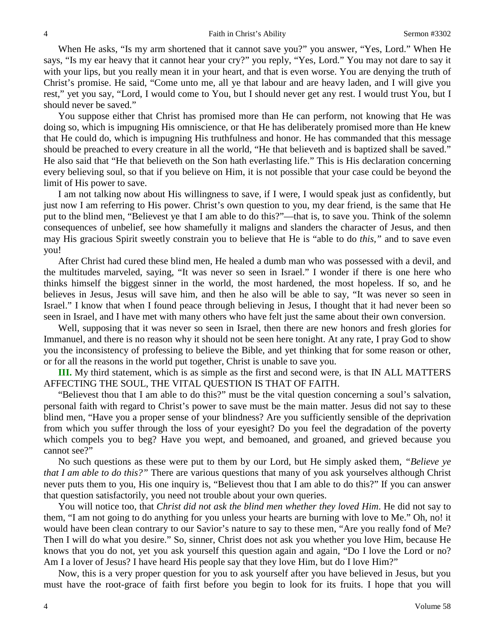When He asks, "Is my arm shortened that it cannot save you?" you answer, "Yes, Lord." When He says, "Is my ear heavy that it cannot hear your cry?" you reply, "Yes, Lord." You may not dare to say it with your lips, but you really mean it in your heart, and that is even worse. You are denying the truth of Christ's promise. He said, "Come unto me, all ye that labour and are heavy laden, and I will give you rest," yet you say, "Lord, I would come to You, but I should never get any rest. I would trust You, but I should never be saved."

You suppose either that Christ has promised more than He can perform, not knowing that He was doing so, which is impugning His omniscience, or that He has deliberately promised more than He knew that He could do, which is impugning His truthfulness and honor. He has commanded that this message should be preached to every creature in all the world, "He that believeth and is baptized shall be saved." He also said that "He that believeth on the Son hath everlasting life." This is His declaration concerning every believing soul, so that if you believe on Him, it is not possible that your case could be beyond the limit of His power to save.

I am not talking now about His willingness to save, if I were, I would speak just as confidently, but just now I am referring to His power. Christ's own question to you, my dear friend, is the same that He put to the blind men, "Believest ye that I am able to do this?"—that is, to save you. Think of the solemn consequences of unbelief, see how shamefully it maligns and slanders the character of Jesus, and then may His gracious Spirit sweetly constrain you to believe that He is "able to do *this,"* and to save even you!

After Christ had cured these blind men, He healed a dumb man who was possessed with a devil, and the multitudes marveled, saying, "It was never so seen in Israel." I wonder if there is one here who thinks himself the biggest sinner in the world, the most hardened, the most hopeless. If so, and he believes in Jesus, Jesus will save him, and then he also will be able to say, "It was never so seen in Israel." I know that when I found peace through believing in Jesus, I thought that it had never been so seen in Israel, and I have met with many others who have felt just the same about their own conversion.

Well, supposing that it was never so seen in Israel, then there are new honors and fresh glories for Immanuel, and there is no reason why it should not be seen here tonight. At any rate, I pray God to show you the inconsistency of professing to believe the Bible, and yet thinking that for some reason or other, or for all the reasons in the world put together, Christ is unable to save you.

**III.** My third statement, which is as simple as the first and second were, is that IN ALL MATTERS AFFECTING THE SOUL, THE VITAL QUESTION IS THAT OF FAITH.

"Believest thou that I am able to do this?" must be the vital question concerning a soul's salvation, personal faith with regard to Christ's power to save must be the main matter. Jesus did not say to these blind men, "Have you a proper sense of your blindness? Are you sufficiently sensible of the deprivation from which you suffer through the loss of your eyesight? Do you feel the degradation of the poverty which compels you to beg? Have you wept, and bemoaned, and groaned, and grieved because you cannot see?"

No such questions as these were put to them by our Lord, but He simply asked them, *"Believe ye that I am able to do this?"* There are various questions that many of you ask yourselves although Christ never puts them to you, His one inquiry is, "Believest thou that I am able to do this?" If you can answer that question satisfactorily, you need not trouble about your own queries.

You will notice too, that *Christ did not ask the blind men whether they loved Him*. He did not say to them, "I am not going to do anything for you unless your hearts are burning with love to Me." Oh, no! it would have been clean contrary to our Savior's nature to say to these men, "Are you really fond of Me? Then I will do what you desire." So, sinner, Christ does not ask you whether you love Him, because He knows that you do not, yet you ask yourself this question again and again, "Do I love the Lord or no? Am I a lover of Jesus? I have heard His people say that they love Him, but do I love Him?"

Now, this is a very proper question for you to ask yourself after you have believed in Jesus, but you must have the root-grace of faith first before you begin to look for its fruits. I hope that you will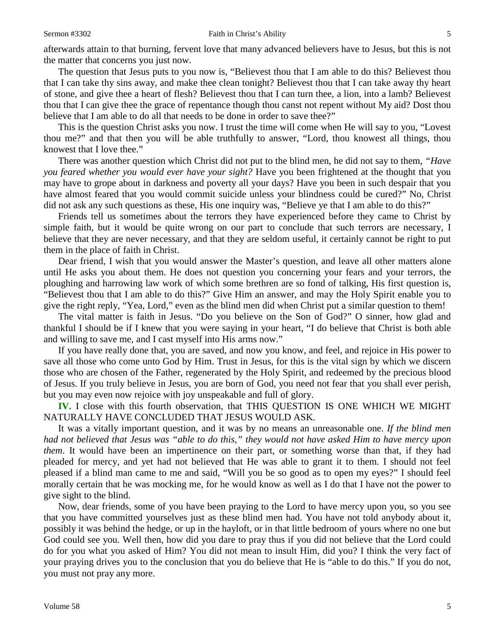afterwards attain to that burning, fervent love that many advanced believers have to Jesus, but this is not the matter that concerns you just now.

The question that Jesus puts to you now is, "Believest thou that I am able to do this? Believest thou that I can take thy sins away, and make thee clean tonight? Believest thou that I can take away thy heart of stone, and give thee a heart of flesh? Believest thou that I can turn thee, a lion, into a lamb? Believest thou that I can give thee the grace of repentance though thou canst not repent without My aid? Dost thou believe that I am able to do all that needs to be done in order to save thee?"

This is the question Christ asks you now. I trust the time will come when He will say to you, "Lovest thou me?" and that then you will be able truthfully to answer, "Lord, thou knowest all things, thou knowest that I love thee."

There was another question which Christ did not put to the blind men, he did not say to them, *"Have you feared whether you would ever have your sight?* Have you been frightened at the thought that you may have to grope about in darkness and poverty all your days? Have you been in such despair that you have almost feared that you would commit suicide unless your blindness could be cured?" No, Christ did not ask any such questions as these, His one inquiry was, "Believe ye that I am able to do this?"

Friends tell us sometimes about the terrors they have experienced before they came to Christ by simple faith, but it would be quite wrong on our part to conclude that such terrors are necessary, I believe that they are never necessary, and that they are seldom useful, it certainly cannot be right to put them in the place of faith in Christ.

Dear friend, I wish that you would answer the Master's question, and leave all other matters alone until He asks you about them. He does not question you concerning your fears and your terrors, the ploughing and harrowing law work of which some brethren are so fond of talking, His first question is, "Believest thou that I am able to do this?" Give Him an answer, and may the Holy Spirit enable you to give the right reply, "Yea, Lord," even as the blind men did when Christ put a similar question to them!

The vital matter is faith in Jesus. "Do you believe on the Son of God?" O sinner, how glad and thankful I should be if I knew that you were saying in your heart, "I do believe that Christ is both able and willing to save me, and I cast myself into His arms now."

If you have really done that, you are saved, and now you know, and feel, and rejoice in His power to save all those who come unto God by Him. Trust in Jesus, for this is the vital sign by which we discern those who are chosen of the Father, regenerated by the Holy Spirit, and redeemed by the precious blood of Jesus. If you truly believe in Jesus, you are born of God, you need not fear that you shall ever perish, but you may even now rejoice with joy unspeakable and full of glory.

**IV.** I close with this fourth observation, that THIS QUESTION IS ONE WHICH WE MIGHT NATURALLY HAVE CONCLUDED THAT JESUS WOULD ASK.

It was a vitally important question, and it was by no means an unreasonable one. *If the blind men had not believed that Jesus was "able to do this," they would not have asked Him to have mercy upon them*. It would have been an impertinence on their part, or something worse than that, if they had pleaded for mercy, and yet had not believed that He was able to grant it to them. I should not feel pleased if a blind man came to me and said, "Will you be so good as to open my eyes?" I should feel morally certain that he was mocking me, for he would know as well as I do that I have not the power to give sight to the blind.

Now, dear friends, some of you have been praying to the Lord to have mercy upon you, so you see that you have committed yourselves just as these blind men had. You have not told anybody about it, possibly it was behind the hedge, or up in the hayloft, or in that little bedroom of yours where no one but God could see you. Well then, how did you dare to pray thus if you did not believe that the Lord could do for you what you asked of Him? You did not mean to insult Him, did you? I think the very fact of your praying drives you to the conclusion that you do believe that He is "able to do this." If you do not, you must not pray any more.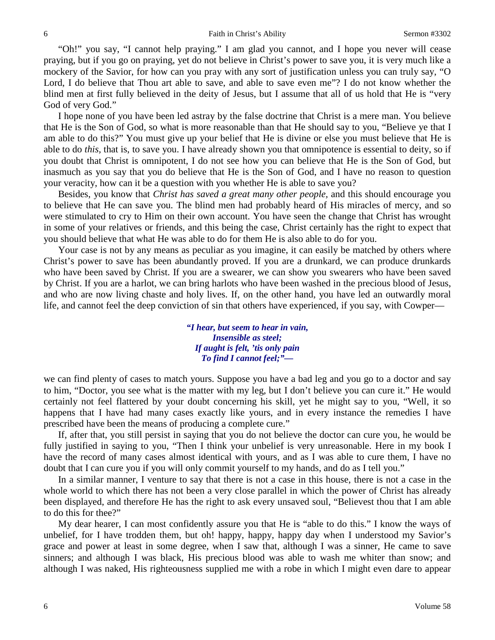"Oh!" you say, "I cannot help praying." I am glad you cannot, and I hope you never will cease praying, but if you go on praying, yet do not believe in Christ's power to save you, it is very much like a mockery of the Savior, for how can you pray with any sort of justification unless you can truly say, "O Lord, I do believe that Thou art able to save, and able to save even me"? I do not know whether the blind men at first fully believed in the deity of Jesus, but I assume that all of us hold that He is "very God of very God."

I hope none of you have been led astray by the false doctrine that Christ is a mere man. You believe that He is the Son of God, so what is more reasonable than that He should say to you, "Believe ye that I am able to do this?" You must give up your belief that He is divine or else you must believe that He is able to do *this,* that is, to save you. I have already shown you that omnipotence is essential to deity, so if you doubt that Christ is omnipotent, I do not see how you can believe that He is the Son of God, but inasmuch as you say that you do believe that He is the Son of God, and I have no reason to question your veracity, how can it be a question with you whether He is able to save you?

Besides, you know that *Christ has saved a great many other people,* and this should encourage you to believe that He can save you. The blind men had probably heard of His miracles of mercy, and so were stimulated to cry to Him on their own account. You have seen the change that Christ has wrought in some of your relatives or friends, and this being the case, Christ certainly has the right to expect that you should believe that what He was able to do for them He is also able to do for you.

Your case is not by any means as peculiar as you imagine, it can easily be matched by others where Christ's power to save has been abundantly proved. If you are a drunkard, we can produce drunkards who have been saved by Christ. If you are a swearer, we can show you swearers who have been saved by Christ. If you are a harlot, we can bring harlots who have been washed in the precious blood of Jesus, and who are now living chaste and holy lives. If, on the other hand, you have led an outwardly moral life, and cannot feel the deep conviction of sin that others have experienced, if you say, with Cowper—

> *"I hear, but seem to hear in vain, Insensible as steel; If aught is felt, 'tis only pain To find I cannot feel;"—*

we can find plenty of cases to match yours. Suppose you have a bad leg and you go to a doctor and say to him, "Doctor, you see what is the matter with my leg, but I don't believe you can cure it." He would certainly not feel flattered by your doubt concerning his skill, yet he might say to you, "Well, it so happens that I have had many cases exactly like yours, and in every instance the remedies I have prescribed have been the means of producing a complete cure."

If, after that, you still persist in saying that you do not believe the doctor can cure you, he would be fully justified in saying to you, "Then I think your unbelief is very unreasonable. Here in my book I have the record of many cases almost identical with yours, and as I was able to cure them, I have no doubt that I can cure you if you will only commit yourself to my hands, and do as I tell you."

In a similar manner, I venture to say that there is not a case in this house, there is not a case in the whole world to which there has not been a very close parallel in which the power of Christ has already been displayed, and therefore He has the right to ask every unsaved soul, "Believest thou that I am able to do this for thee?"

My dear hearer, I can most confidently assure you that He is "able to do this." I know the ways of unbelief, for I have trodden them, but oh! happy, happy, happy day when I understood my Savior's grace and power at least in some degree, when I saw that, although I was a sinner, He came to save sinners; and although I was black, His precious blood was able to wash me whiter than snow; and although I was naked, His righteousness supplied me with a robe in which I might even dare to appear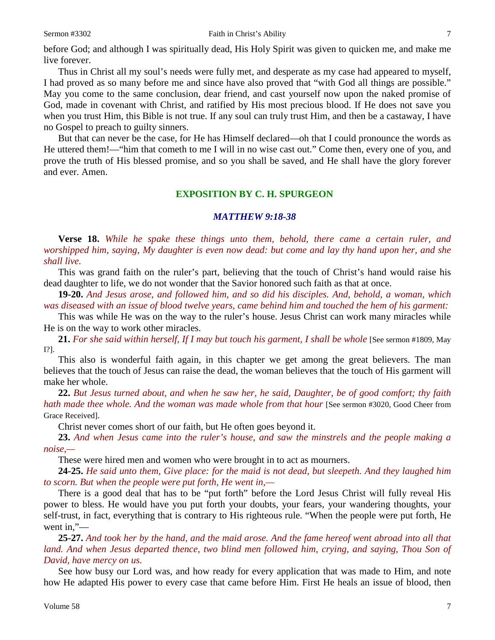#### Sermon #3302 **Faith in Christ's Ability** 7

before God; and although I was spiritually dead, His Holy Spirit was given to quicken me, and make me live forever.

Thus in Christ all my soul's needs were fully met, and desperate as my case had appeared to myself, I had proved as so many before me and since have also proved that "with God all things are possible." May you come to the same conclusion, dear friend, and cast yourself now upon the naked promise of God, made in covenant with Christ, and ratified by His most precious blood. If He does not save you when you trust Him, this Bible is not true. If any soul can truly trust Him, and then be a castaway, I have no Gospel to preach to guilty sinners.

But that can never be the case, for He has Himself declared—oh that I could pronounce the words as He uttered them!—"him that cometh to me I will in no wise cast out." Come then, every one of you, and prove the truth of His blessed promise, and so you shall be saved, and He shall have the glory forever and ever. Amen.

#### **EXPOSITION BY C. H. SPURGEON**

### *MATTHEW 9:18-38*

**Verse 18.** *While he spake these things unto them, behold, there came a certain ruler, and worshipped him, saying, My daughter is even now dead: but come and lay thy hand upon her, and she shall live.*

This was grand faith on the ruler's part, believing that the touch of Christ's hand would raise his dead daughter to life, we do not wonder that the Savior honored such faith as that at once.

**19-20.** *And Jesus arose, and followed him, and so did his disciples. And, behold, a woman, which was diseased with an issue of blood twelve years, came behind him and touched the hem of his garment:*

This was while He was on the way to the ruler's house. Jesus Christ can work many miracles while He is on the way to work other miracles.

**21.** *For she said within herself, If I may but touch his garment, I shall be whole* [See sermon #1809, May I?].

This also is wonderful faith again, in this chapter we get among the great believers. The man believes that the touch of Jesus can raise the dead, the woman believes that the touch of His garment will make her whole.

**22.** *But Jesus turned about, and when he saw her, he said, Daughter, be of good comfort; thy faith hath made thee whole. And the woman was made whole from that hour* [See sermon #3020, Good Cheer from Grace Received]*.*

Christ never comes short of our faith, but He often goes beyond it.

**23.** *And when Jesus came into the ruler's house, and saw the minstrels and the people making a noise,—*

These were hired men and women who were brought in to act as mourners.

**24-25.** *He said unto them, Give place: for the maid is not dead, but sleepeth. And they laughed him to scorn. But when the people were put forth, He went in,—*

There is a good deal that has to be "put forth" before the Lord Jesus Christ will fully reveal His power to bless. He would have you put forth your doubts, your fears, your wandering thoughts, your self-trust, in fact, everything that is contrary to His righteous rule. "When the people were put forth, He went in,"—

**25-27.** *And took her by the hand, and the maid arose. And the fame hereof went abroad into all that land. And when Jesus departed thence, two blind men followed him, crying, and saying, Thou Son of David, have mercy on us.*

See how busy our Lord was, and how ready for every application that was made to Him, and note how He adapted His power to every case that came before Him. First He heals an issue of blood, then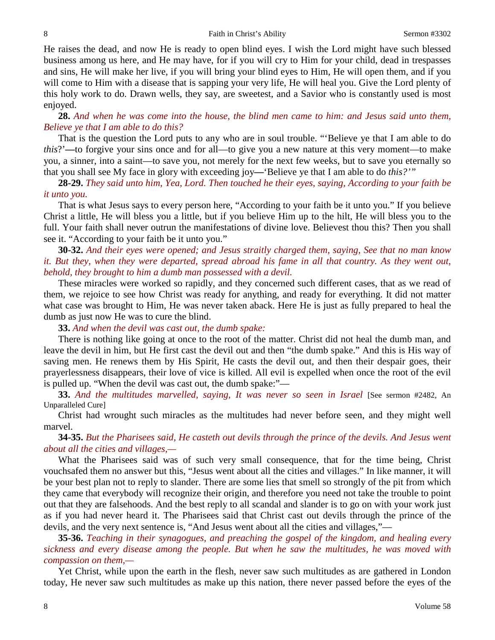He raises the dead, and now He is ready to open blind eyes. I wish the Lord might have such blessed business among us here, and He may have, for if you will cry to Him for your child, dead in trespasses and sins, He will make her live, if you will bring your blind eyes to Him, He will open them, and if you will come to Him with a disease that is sapping your very life, He will heal you. Give the Lord plenty of this holy work to do. Drawn wells, they say, are sweetest, and a Savior who is constantly used is most enjoyed.

### **28.** *And when he was come into the house, the blind men came to him: and Jesus said unto them, Believe ye that I am able to do this?*

That is the question the Lord puts to any who are in soul trouble. "'Believe ye that I am able to do *this*?'**—**to forgive your sins once and for all—to give you a new nature at this very moment—to make you, a sinner, into a saint—to save you, not merely for the next few weeks, but to save you eternally so that you shall see My face in glory with exceeding joy**—**'Believe ye that I am able to do *this?'"*

## **28-29.** *They said unto him, Yea, Lord. Then touched he their eyes, saying, According to your faith be it unto you.*

That is what Jesus says to every person here, "According to your faith be it unto you." If you believe Christ a little, He will bless you a little, but if you believe Him up to the hilt, He will bless you to the full. Your faith shall never outrun the manifestations of divine love. Believest thou this? Then you shall see it. "According to your faith be it unto you."

**30-32.** *And their eyes were opened; and Jesus straitly charged them, saying, See that no man know it. But they, when they were departed, spread abroad his fame in all that country. As they went out, behold, they brought to him a dumb man possessed with a devil.*

These miracles were worked so rapidly, and they concerned such different cases, that as we read of them, we rejoice to see how Christ was ready for anything, and ready for everything. It did not matter what case was brought to Him, He was never taken aback. Here He is just as fully prepared to heal the dumb as just now He was to cure the blind.

**33.** *And when the devil was cast out, the dumb spake:*

There is nothing like going at once to the root of the matter. Christ did not heal the dumb man, and leave the devil in him, but He first cast the devil out and then "the dumb spake." And this is His way of saving men. He renews them by His Spirit, He casts the devil out, and then their despair goes, their prayerlessness disappears, their love of vice is killed. All evil is expelled when once the root of the evil is pulled up. "When the devil was cast out, the dumb spake:"—

**33.** *And the multitudes marvelled, saying, It was never so seen in Israel* [See sermon #2482, An Unparalleled Cure]

Christ had wrought such miracles as the multitudes had never before seen, and they might well marvel.

**34-35.** *But the Pharisees said, He casteth out devils through the prince of the devils. And Jesus went about all the cities and villages,—*

What the Pharisees said was of such very small consequence, that for the time being, Christ vouchsafed them no answer but this, "Jesus went about all the cities and villages." In like manner, it will be your best plan not to reply to slander. There are some lies that smell so strongly of the pit from which they came that everybody will recognize their origin, and therefore you need not take the trouble to point out that they are falsehoods. And the best reply to all scandal and slander is to go on with your work just as if you had never heard it. The Pharisees said that Christ cast out devils through the prince of the devils, and the very next sentence is, "And Jesus went about all the cities and villages,"—

**35-36.** *Teaching in their synagogues, and preaching the gospel of the kingdom, and healing every sickness and every disease among the people. But when he saw the multitudes, he was moved with compassion on them,—*

Yet Christ, while upon the earth in the flesh, never saw such multitudes as are gathered in London today, He never saw such multitudes as make up this nation, there never passed before the eyes of the